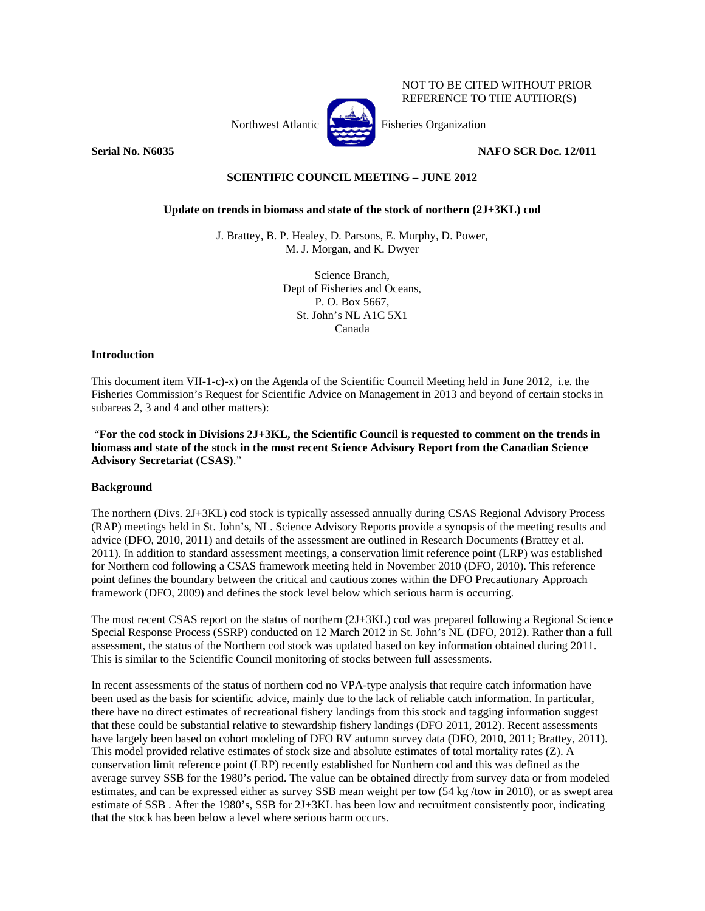Northwest Atlantic Fisheries Organization

**Serial No. N6035** NAFO SCR Doc. 12/011

NOT TO BE CITED WITHOUT PRIOR REFERENCE TO THE AUTHOR(S)

# **SCIENTIFIC COUNCIL MEETING – JUNE 2012**

## **Update on trends in biomass and state of the stock of northern (2J+3KL) cod**

J. Brattey, B. P. Healey, D. Parsons, E. Murphy, D. Power, M. J. Morgan, and K. Dwyer

> Science Branch, Dept of Fisheries and Oceans, P. O. Box 5667, St. John's NL A1C 5X1 Canada

## **Introduction**

This document item VII-1-c)-x) on the Agenda of the Scientific Council Meeting held in June 2012, i.e. the Fisheries Commission's Request for Scientific Advice on Management in 2013 and beyond of certain stocks in subareas 2, 3 and 4 and other matters):

 "**For the cod stock in Divisions 2J+3KL, the Scientific Council is requested to comment on the trends in biomass and state of the stock in the most recent Science Advisory Report from the Canadian Science Advisory Secretariat (CSAS)**."

## **Background**

The northern (Divs. 2J+3KL) cod stock is typically assessed annually during CSAS Regional Advisory Process (RAP) meetings held in St. John's, NL. Science Advisory Reports provide a synopsis of the meeting results and advice (DFO, 2010, 2011) and details of the assessment are outlined in Research Documents (Brattey et al. 2011). In addition to standard assessment meetings, a conservation limit reference point (LRP) was established for Northern cod following a CSAS framework meeting held in November 2010 (DFO, 2010). This reference point defines the boundary between the critical and cautious zones within the DFO Precautionary Approach framework (DFO, 2009) and defines the stock level below which serious harm is occurring.

The most recent CSAS report on the status of northern (2J+3KL) cod was prepared following a Regional Science Special Response Process (SSRP) conducted on 12 March 2012 in St. John's NL (DFO, 2012). Rather than a full assessment, the status of the Northern cod stock was updated based on key information obtained during 2011. This is similar to the Scientific Council monitoring of stocks between full assessments.

In recent assessments of the status of northern cod no VPA-type analysis that require catch information have been used as the basis for scientific advice, mainly due to the lack of reliable catch information. In particular, there have no direct estimates of recreational fishery landings from this stock and tagging information suggest that these could be substantial relative to stewardship fishery landings (DFO 2011, 2012). Recent assessments have largely been based on cohort modeling of DFO RV autumn survey data (DFO, 2010, 2011; Brattey, 2011). This model provided relative estimates of stock size and absolute estimates of total mortality rates (Z). A conservation limit reference point (LRP) recently established for Northern cod and this was defined as the average survey SSB for the 1980's period. The value can be obtained directly from survey data or from modeled estimates, and can be expressed either as survey SSB mean weight per tow (54 kg /tow in 2010), or as swept area estimate of SSB . After the 1980's, SSB for 2J+3KL has been low and recruitment consistently poor, indicating that the stock has been below a level where serious harm occurs.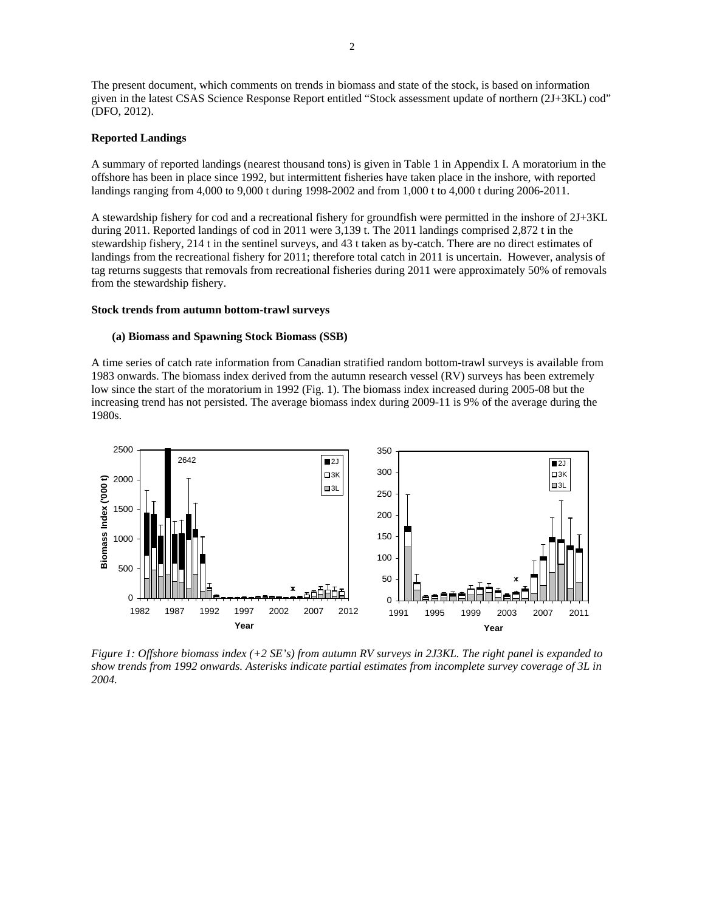The present document, which comments on trends in biomass and state of the stock, is based on information given in the latest CSAS Science Response Report entitled "Stock assessment update of northern (2J+3KL) cod" (DFO, 2012).

#### **Reported Landings**

A summary of reported landings (nearest thousand tons) is given in Table 1 in Appendix I. A moratorium in the offshore has been in place since 1992, but intermittent fisheries have taken place in the inshore, with reported landings ranging from 4,000 to 9,000 t during 1998-2002 and from 1,000 t to 4,000 t during 2006-2011.

A stewardship fishery for cod and a recreational fishery for groundfish were permitted in the inshore of 2J+3KL during 2011. Reported landings of cod in 2011 were 3,139 t. The 2011 landings comprised 2,872 t in the stewardship fishery, 214 t in the sentinel surveys, and 43 t taken as by-catch. There are no direct estimates of landings from the recreational fishery for 2011; therefore total catch in 2011 is uncertain. However, analysis of tag returns suggests that removals from recreational fisheries during 2011 were approximately 50% of removals from the stewardship fishery.

#### **Stock trends from autumn bottom-trawl surveys**

#### **(a) Biomass and Spawning Stock Biomass (SSB)**

A time series of catch rate information from Canadian stratified random bottom-trawl surveys is available from 1983 onwards. The biomass index derived from the autumn research vessel (RV) surveys has been extremely low since the start of the moratorium in 1992 (Fig. 1). The biomass index increased during 2005-08 but the increasing trend has not persisted. The average biomass index during 2009-11 is 9% of the average during the 1980s.



*Figure 1: Offshore biomass index (+2 SE's) from autumn RV surveys in 2J3KL. The right panel is expanded to show trends from 1992 onwards. Asterisks indicate partial estimates from incomplete survey coverage of 3L in 2004.*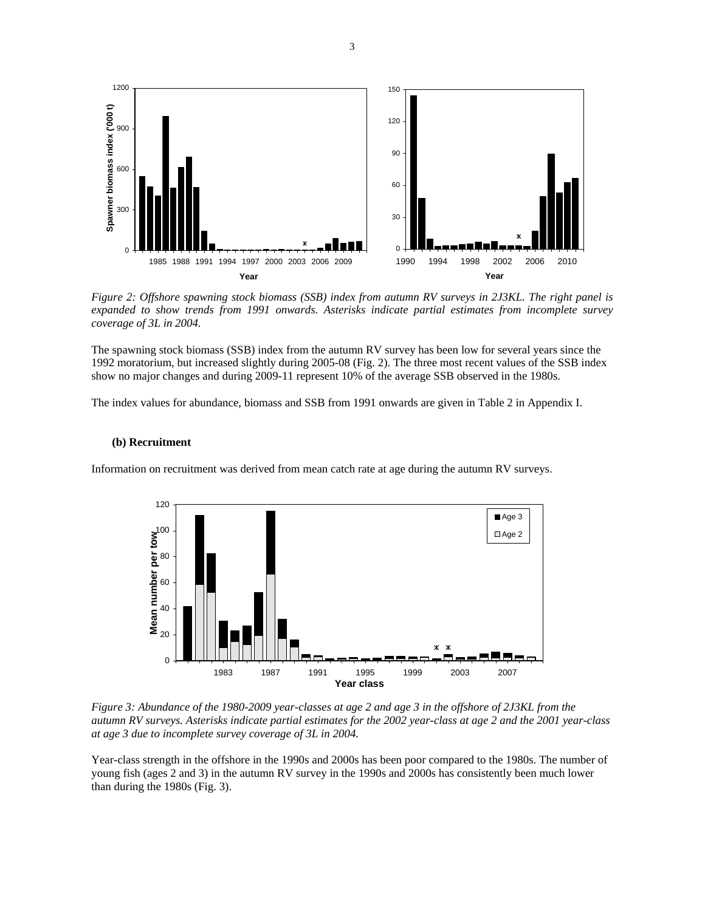

*Figure 2: Offshore spawning stock biomass (SSB) index from autumn RV surveys in 2J3KL. The right panel is expanded to show trends from 1991 onwards. Asterisks indicate partial estimates from incomplete survey coverage of 3L in 2004.* 

The spawning stock biomass (SSB) index from the autumn RV survey has been low for several years since the 1992 moratorium, but increased slightly during 2005-08 (Fig. 2). The three most recent values of the SSB index show no major changes and during 2009-11 represent 10% of the average SSB observed in the 1980s.

The index values for abundance, biomass and SSB from 1991 onwards are given in Table 2 in Appendix I.

#### **(b) Recruitment**

Information on recruitment was derived from mean catch rate at age during the autumn RV surveys.



*Figure 3: Abundance of the 1980-2009 year-classes at age 2 and age 3 in the offshore of 2J3KL from the autumn RV surveys. Asterisks indicate partial estimates for the 2002 year-class at age 2 and the 2001 year-class at age 3 due to incomplete survey coverage of 3L in 2004.* 

Year-class strength in the offshore in the 1990s and 2000s has been poor compared to the 1980s. The number of young fish (ages 2 and 3) in the autumn RV survey in the 1990s and 2000s has consistently been much lower than during the 1980s (Fig. 3).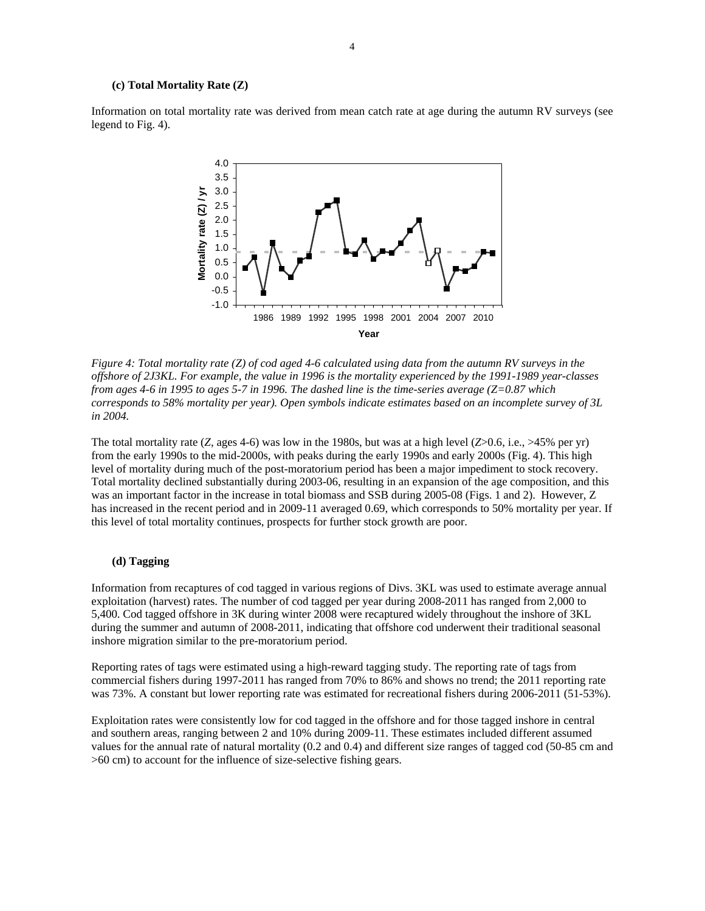#### **(c) Total Mortality Rate (Z)**

Information on total mortality rate was derived from mean catch rate at age during the autumn RV surveys (see legend to Fig. 4).



*Figure 4: Total mortality rate (Z) of cod aged 4-6 calculated using data from the autumn RV surveys in the offshore of 2J3KL. For example, the value in 1996 is the mortality experienced by the 1991-1989 year-classes from ages 4-6 in 1995 to ages 5-7 in 1996. The dashed line is the time-series average (Z=0.87 which corresponds to 58% mortality per year). Open symbols indicate estimates based on an incomplete survey of 3L in 2004.*

The total mortality rate  $(Z, \text{ ages } 4-6)$  was low in the 1980s, but was at a high level  $(Z>0.6, i.e., >45\%$  per yr) from the early 1990s to the mid-2000s, with peaks during the early 1990s and early 2000s (Fig. 4). This high level of mortality during much of the post-moratorium period has been a major impediment to stock recovery. Total mortality declined substantially during 2003-06, resulting in an expansion of the age composition, and this was an important factor in the increase in total biomass and SSB during 2005-08 (Figs. 1 and 2). However, Z has increased in the recent period and in 2009-11 averaged 0.69, which corresponds to 50% mortality per year. If this level of total mortality continues, prospects for further stock growth are poor.

## **(d) Tagging**

Information from recaptures of cod tagged in various regions of Divs. 3KL was used to estimate average annual exploitation (harvest) rates. The number of cod tagged per year during 2008-2011 has ranged from 2,000 to 5,400. Cod tagged offshore in 3K during winter 2008 were recaptured widely throughout the inshore of 3KL during the summer and autumn of 2008-2011, indicating that offshore cod underwent their traditional seasonal inshore migration similar to the pre-moratorium period.

Reporting rates of tags were estimated using a high-reward tagging study. The reporting rate of tags from commercial fishers during 1997-2011 has ranged from 70% to 86% and shows no trend; the 2011 reporting rate was 73%. A constant but lower reporting rate was estimated for recreational fishers during 2006-2011 (51-53%).

Exploitation rates were consistently low for cod tagged in the offshore and for those tagged inshore in central and southern areas, ranging between 2 and 10% during 2009-11. These estimates included different assumed values for the annual rate of natural mortality (0.2 and 0.4) and different size ranges of tagged cod (50-85 cm and >60 cm) to account for the influence of size-selective fishing gears.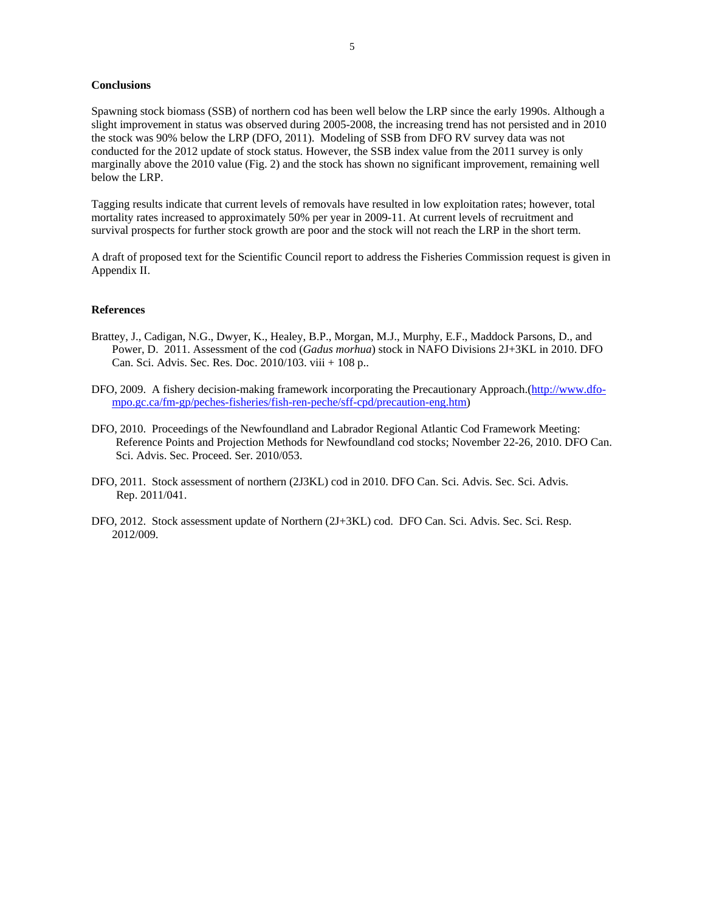#### **Conclusions**

Spawning stock biomass (SSB) of northern cod has been well below the LRP since the early 1990s. Although a slight improvement in status was observed during 2005-2008, the increasing trend has not persisted and in 2010 the stock was 90% below the LRP (DFO, 2011). Modeling of SSB from DFO RV survey data was not conducted for the 2012 update of stock status. However, the SSB index value from the 2011 survey is only marginally above the 2010 value (Fig. 2) and the stock has shown no significant improvement, remaining well below the LRP.

Tagging results indicate that current levels of removals have resulted in low exploitation rates; however, total mortality rates increased to approximately 50% per year in 2009-11. At current levels of recruitment and survival prospects for further stock growth are poor and the stock will not reach the LRP in the short term.

A draft of proposed text for the Scientific Council report to address the Fisheries Commission request is given in Appendix II.

## **References**

- Brattey, J., Cadigan, N.G., Dwyer, K., Healey, B.P., Morgan, M.J., Murphy, E.F., Maddock Parsons, D., and Power, D. 2011. Assessment of the cod (*Gadus morhua*) stock in NAFO Divisions 2J+3KL in 2010. DFO Can. Sci. Advis. Sec. Res. Doc. 2010/103. viii + 108 p..
- DFO, 2009. A fishery decision-making framework incorporating the Precautionary Approach.(http://www.dfompo.gc.ca/fm-gp/peches-fisheries/fish-ren-peche/sff-cpd/precaution-eng.htm)
- DFO, 2010. Proceedings of the Newfoundland and Labrador Regional Atlantic Cod Framework Meeting: Reference Points and Projection Methods for Newfoundland cod stocks; November 22-26, 2010. DFO Can. Sci. Advis. Sec. Proceed. Ser. 2010/053.
- DFO, 2011. Stock assessment of northern (2J3KL) cod in 2010. DFO Can. Sci. Advis. Sec. Sci. Advis. Rep. 2011/041.
- DFO, 2012. Stock assessment update of Northern (2J+3KL) cod. DFO Can. Sci. Advis. Sec. Sci. Resp. 2012/009.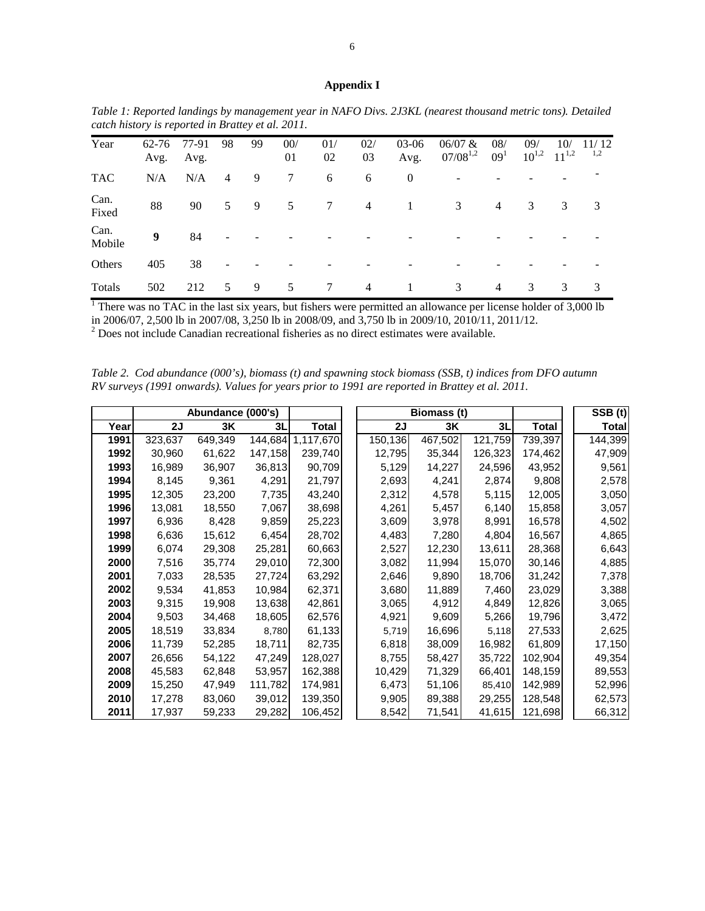### **Appendix I**

|                | $\alpha$ and $\beta$ as $\alpha$ and $\beta$ and $\beta$ and $\beta$ and $\beta$ and $\beta$ |               |    |    |           |           |                |                  |                          |                        |                   |                   |              |
|----------------|----------------------------------------------------------------------------------------------|---------------|----|----|-----------|-----------|----------------|------------------|--------------------------|------------------------|-------------------|-------------------|--------------|
| Year           | 62-76<br>Avg.                                                                                | 77-91<br>Avg. | 98 | 99 | 00/<br>01 | 01/<br>02 | 02/<br>03      | $03-06$<br>Avg.  | 06/07 &<br>$07/08^{1,2}$ | 08/<br>09 <sup>1</sup> | 09/<br>$10^{1,2}$ | 10/<br>$11^{1,2}$ | 11/12<br>1,2 |
| <b>TAC</b>     | N/A                                                                                          | N/A           | 4  | 9  | 7         | 6         | 6              | $\boldsymbol{0}$ |                          |                        |                   |                   |              |
| Can.<br>Fixed  | 88                                                                                           | 90            | 5  | 9  | 5         | 7         | $\overline{4}$ | -1               | 3                        | $\overline{4}$         | 3                 | 3                 | 3            |
| Can.<br>Mobile | 9                                                                                            | 84            |    |    |           |           |                |                  |                          |                        |                   |                   |              |
| Others         | 405                                                                                          | 38            |    |    |           |           |                |                  |                          |                        |                   |                   |              |
| Totals         | 502                                                                                          | 212           | 5  | 9  | 5         | 7         | $\overline{4}$ |                  | 3                        | 4                      | 3                 | 3                 | 3            |

*Table 1: Reported landings by management year in NAFO Divs. 2J3KL (nearest thousand metric tons). Detailed catch history is reported in Brattey et al. 2011.* 

<sup>1</sup> There was no TAC in the last six years, but fishers were permitted an allowance per license holder of  $3,000$  lb in 2006/07, 2,500 lb in 2007/08, 3,250 lb in 2008/09, and 3,750 lb in 2009/10, 2010/11, 2011/12.

 $2^{2}$  Does not include Canadian recreational fisheries as no direct estimates were available.

*Table 2. Cod abundance (000's), biomass (t) and spawning stock biomass (SSB, t) indices from DFO autumn RV surveys (1991 onwards). Values for years prior to 1991 are reported in Brattey et al. 2011.* 

|      |         | Abundance (000's) |         |           |         | $\overline{\text{S}}$ SB $(t)$ |         |         |         |
|------|---------|-------------------|---------|-----------|---------|--------------------------------|---------|---------|---------|
| Year | 2J      | 3K                | 3L      | Total     | 2J      | 3K                             | 3L      | Total   | Total   |
| 1991 | 323,637 | 649,349           | 144,684 | 1,117,670 | 150,136 | 467,502                        | 121,759 | 739,397 | 144,399 |
| 1992 | 30,960  | 61,622            | 147,158 | 239,740   | 12,795  | 35,344                         | 126,323 | 174,462 | 47,909  |
| 1993 | 16,989  | 36,907            | 36,813  | 90,709    | 5,129   | 14,227                         | 24,596  | 43,952  | 9,561   |
| 1994 | 8,145   | 9,361             | 4,291   | 21,797    | 2,693   | 4,241                          | 2,874   | 9,808   | 2,578   |
| 1995 | 12,305  | 23,200            | 7,735   | 43,240    | 2,312   | 4,578                          | 5,115   | 12,005  | 3,050   |
| 1996 | 13,081  | 18,550            | 7,067   | 38,698    | 4,261   | 5,457                          | 6,140   | 15,858  | 3,057   |
| 1997 | 6,936   | 8,428             | 9,859   | 25,223    | 3,609   | 3,978                          | 8,991   | 16,578  | 4,502   |
| 1998 | 6,636   | 15,612            | 6,454   | 28,702    | 4,483   | 7,280                          | 4,804   | 16,567  | 4,865   |
| 1999 | 6,074   | 29,308            | 25,281  | 60,663    | 2,527   | 12,230                         | 13,611  | 28,368  | 6,643   |
| 2000 | 7,516   | 35,774            | 29,010  | 72,300    | 3,082   | 11,994                         | 15,070  | 30,146  | 4,885   |
| 2001 | 7,033   | 28,535            | 27,724  | 63,292    | 2,646   | 9,890                          | 18,706  | 31,242  | 7,378   |
| 2002 | 9,534   | 41,853            | 10,984  | 62,371    | 3,680   | 11,889                         | 7,460   | 23,029  | 3,388   |
| 2003 | 9,315   | 19,908            | 13,638  | 42,861    | 3,065   | 4,912                          | 4,849   | 12,826  | 3,065   |
| 2004 | 9,503   | 34,468            | 18,605  | 62,576    | 4,921   | 9,609                          | 5,266   | 19,796  | 3,472   |
| 2005 | 18,519  | 33,834            | 8,780   | 61,133    | 5,719   | 16,696                         | 5,118   | 27,533  | 2,625   |
| 2006 | 11,739  | 52,285            | 18,711  | 82,735    | 6,818   | 38,009                         | 16,982  | 61,809  | 17,150  |
| 2007 | 26,656  | 54,122            | 47,249  | 128,027   | 8,755   | 58,427                         | 35,722  | 102,904 | 49,354  |
| 2008 | 45,583  | 62,848            | 53,957  | 162,388   | 10,429  | 71,329                         | 66,401  | 148,159 | 89,553  |
| 2009 | 15,250  | 47,949            | 111,782 | 174,981   | 6,473   | 51,106                         | 85,410  | 142,989 | 52,996  |
| 2010 | 17,278  | 83,060            | 39,012  | 139,350   | 9,905   | 89,388                         | 29,255  | 128,548 | 62,573  |
| 2011 | 17,937  | 59,233            | 29,282  | 106,452   | 8,542   | 71,541                         | 41,615  | 121,698 | 66,312  |